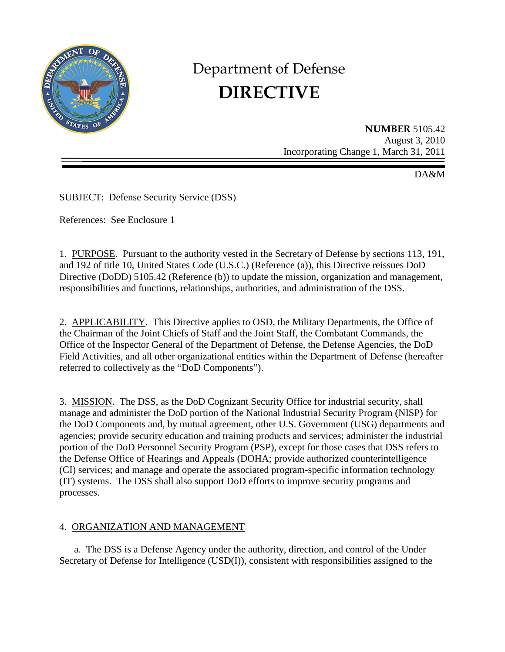

# Department of Defense **DIRECTIVE**

**NUMBER** 5105.42 August 3, 2010 Incorporating Change 1, March 31, 2011

DA&M

SUBJECT: Defense Security Service (DSS)

References: See Enclosure 1

1. PURPOSE. Pursuant to the authority vested in the Secretary of Defense by sections 113, 191, and 192 of title 10, United States Code (U.S.C.) (Reference (a)), this Directive reissues DoD Directive (DoDD) 5105.42 (Reference (b)) to update the mission, organization and management, responsibilities and functions, relationships, authorities, and administration of the DSS.

2. APPLICABILITY. This Directive applies to OSD, the Military Departments, the Office of the Chairman of the Joint Chiefs of Staff and the Joint Staff, the Combatant Commands, the Office of the Inspector General of the Department of Defense, the Defense Agencies, the DoD Field Activities, and all other organizational entities within the Department of Defense (hereafter referred to collectively as the "DoD Components").

3. MISSION. The DSS, as the DoD Cognizant Security Office for industrial security, shall manage and administer the DoD portion of the National Industrial Security Program (NISP) for the DoD Components and, by mutual agreement, other U.S. Government (USG) departments and agencies; provide security education and training products and services; administer the industrial portion of the DoD Personnel Security Program (PSP), except for those cases that DSS refers to the Defense Office of Hearings and Appeals (DOHA; provide authorized counterintelligence (CI) services; and manage and operate the associated program-specific information technology (IT) systems. The DSS shall also support DoD efforts to improve security programs and processes.

# 4. ORGANIZATION AND MANAGEMENT

a. The DSS is a Defense Agency under the authority, direction, and control of the Under Secretary of Defense for Intelligence (USD(I)), consistent with responsibilities assigned to the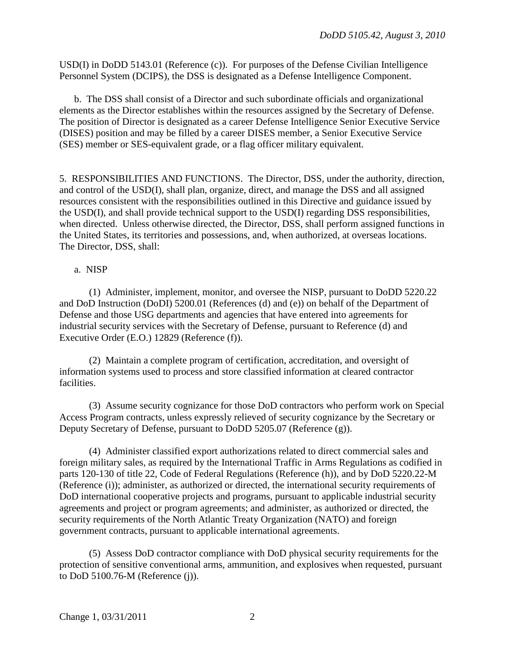USD(I) in DoDD 5143.01 (Reference (c)). For purposes of the Defense Civilian Intelligence Personnel System (DCIPS), the DSS is designated as a Defense Intelligence Component.

 b. The DSS shall consist of a Director and such subordinate officials and organizational elements as the Director establishes within the resources assigned by the Secretary of Defense. The position of Director is designated as a career Defense Intelligence Senior Executive Service (DISES) position and may be filled by a career DISES member, a Senior Executive Service (SES) member or SES-equivalent grade, or a flag officer military equivalent.

5. RESPONSIBILITIES AND FUNCTIONS. The Director, DSS, under the authority, direction, and control of the USD(I), shall plan, organize, direct, and manage the DSS and all assigned resources consistent with the responsibilities outlined in this Directive and guidance issued by the USD(I), and shall provide technical support to the USD(I) regarding DSS responsibilities, when directed. Unless otherwise directed, the Director, DSS, shall perform assigned functions in the United States, its territories and possessions, and, when authorized, at overseas locations. The Director, DSS, shall:

### a. NISP

 (1) Administer, implement, monitor, and oversee the NISP, pursuant to DoDD 5220.22 and DoD Instruction (DoDI) 5200.01 (References (d) and (e)) on behalf of the Department of Defense and those USG departments and agencies that have entered into agreements for industrial security services with the Secretary of Defense, pursuant to Reference (d) and Executive Order (E.O.) 12829 (Reference (f)).

 (2) Maintain a complete program of certification, accreditation, and oversight of information systems used to process and store classified information at cleared contractor facilities.

 (3) Assume security cognizance for those DoD contractors who perform work on Special Access Program contracts, unless expressly relieved of security cognizance by the Secretary or Deputy Secretary of Defense, pursuant to DoDD 5205.07 (Reference (g)).

 (4) Administer classified export authorizations related to direct commercial sales and foreign military sales, as required by the International Traffic in Arms Regulations as codified in parts 120-130 of title 22, Code of Federal Regulations (Reference (h)), and by DoD 5220.22-M (Reference (i)); administer, as authorized or directed, the international security requirements of DoD international cooperative projects and programs, pursuant to applicable industrial security agreements and project or program agreements; and administer, as authorized or directed, the security requirements of the North Atlantic Treaty Organization (NATO) and foreign government contracts, pursuant to applicable international agreements.

 (5) Assess DoD contractor compliance with DoD physical security requirements for the protection of sensitive conventional arms, ammunition, and explosives when requested, pursuant to DoD 5100.76-M (Reference (j)).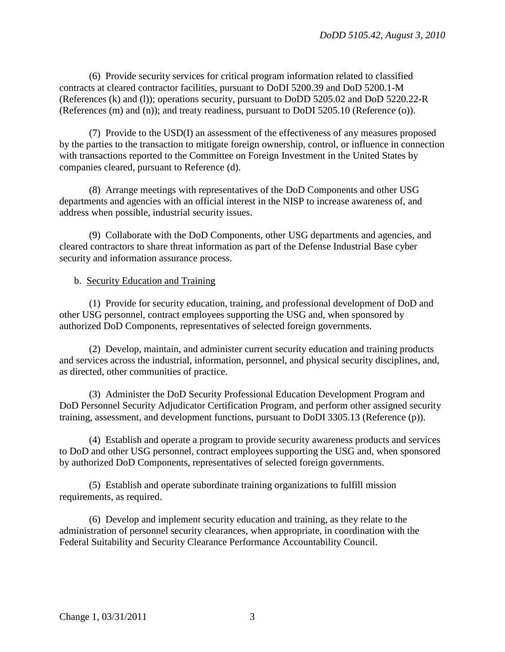(6) Provide security services for critical program information related to classified contracts at cleared contractor facilities, pursuant to DoDI 5200.39 and DoD 5200.1-M (References (k) and (l)); operations security, pursuant to DoDD 5205.02 and DoD 5220.22-R (References (m) and (n)); and treaty readiness, pursuant to DoDI 5205.10 (Reference (o)).

 (7) Provide to the USD(I) an assessment of the effectiveness of any measures proposed by the parties to the transaction to mitigate foreign ownership, control, or influence in connection with transactions reported to the Committee on Foreign Investment in the United States by companies cleared, pursuant to Reference (d).

 (8) Arrange meetings with representatives of the DoD Components and other USG departments and agencies with an official interest in the NISP to increase awareness of, and address when possible, industrial security issues.

 (9) Collaborate with the DoD Components, other USG departments and agencies, and cleared contractors to share threat information as part of the Defense Industrial Base cyber security and information assurance process.

# b. Security Education and Training

 (1) Provide for security education, training, and professional development of DoD and other USG personnel, contract employees supporting the USG and, when sponsored by authorized DoD Components, representatives of selected foreign governments.

 (2) Develop, maintain, and administer current security education and training products and services across the industrial, information, personnel, and physical security disciplines, and, as directed, other communities of practice.

 (3) Administer the DoD Security Professional Education Development Program and DoD Personnel Security Adjudicator Certification Program, and perform other assigned security training, assessment, and development functions, pursuant to DoDI 3305.13 (Reference (p)).

 (4) Establish and operate a program to provide security awareness products and services to DoD and other USG personnel, contract employees supporting the USG and, when sponsored by authorized DoD Components, representatives of selected foreign governments.

 (5) Establish and operate subordinate training organizations to fulfill mission requirements, as required.

 (6) Develop and implement security education and training, as they relate to the administration of personnel security clearances, when appropriate, in coordination with the Federal Suitability and Security Clearance Performance Accountability Council.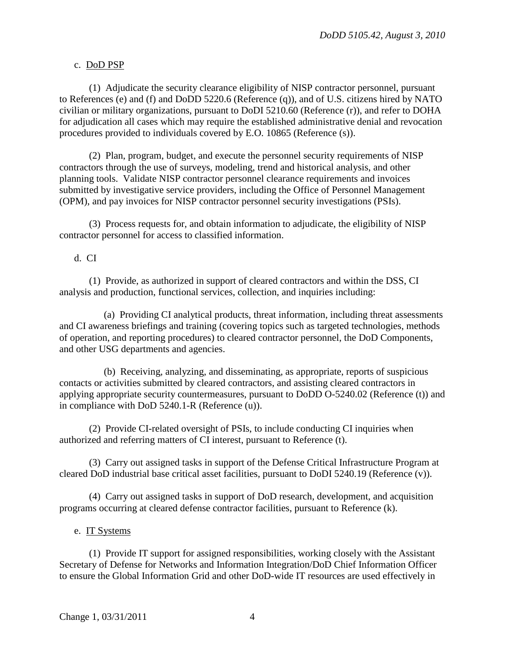## c. DoD PSP

 (1) Adjudicate the security clearance eligibility of NISP contractor personnel, pursuant to References (e) and (f) and DoDD 5220.6 (Reference (q)), and of U.S. citizens hired by NATO civilian or military organizations, pursuant to DoDI 5210.60 (Reference (r)), and refer to DOHA for adjudication all cases which may require the established administrative denial and revocation procedures provided to individuals covered by E.O. 10865 (Reference (s)).

 (2) Plan, program, budget, and execute the personnel security requirements of NISP contractors through the use of surveys, modeling, trend and historical analysis, and other planning tools. Validate NISP contractor personnel clearance requirements and invoices submitted by investigative service providers, including the Office of Personnel Management (OPM), and pay invoices for NISP contractor personnel security investigations (PSIs).

 (3) Process requests for, and obtain information to adjudicate, the eligibility of NISP contractor personnel for access to classified information.

### d. CI

 (1) Provide, as authorized in support of cleared contractors and within the DSS, CI analysis and production, functional services, collection, and inquiries including:

 (a) Providing CI analytical products, threat information, including threat assessments and CI awareness briefings and training (covering topics such as targeted technologies, methods of operation, and reporting procedures) to cleared contractor personnel, the DoD Components, and other USG departments and agencies.

 (b) Receiving, analyzing, and disseminating, as appropriate, reports of suspicious contacts or activities submitted by cleared contractors, and assisting cleared contractors in applying appropriate security countermeasures, pursuant to DoDD O-5240.02 (Reference (t)) and in compliance with DoD 5240.1-R (Reference (u)).

 (2) Provide CI-related oversight of PSIs, to include conducting CI inquiries when authorized and referring matters of CI interest, pursuant to Reference (t).

 (3) Carry out assigned tasks in support of the Defense Critical Infrastructure Program at cleared DoD industrial base critical asset facilities, pursuant to DoDI 5240.19 (Reference (v)).

 (4) Carry out assigned tasks in support of DoD research, development, and acquisition programs occurring at cleared defense contractor facilities, pursuant to Reference (k).

### e. IT Systems

 (1) Provide IT support for assigned responsibilities, working closely with the Assistant Secretary of Defense for Networks and Information Integration/DoD Chief Information Officer to ensure the Global Information Grid and other DoD-wide IT resources are used effectively in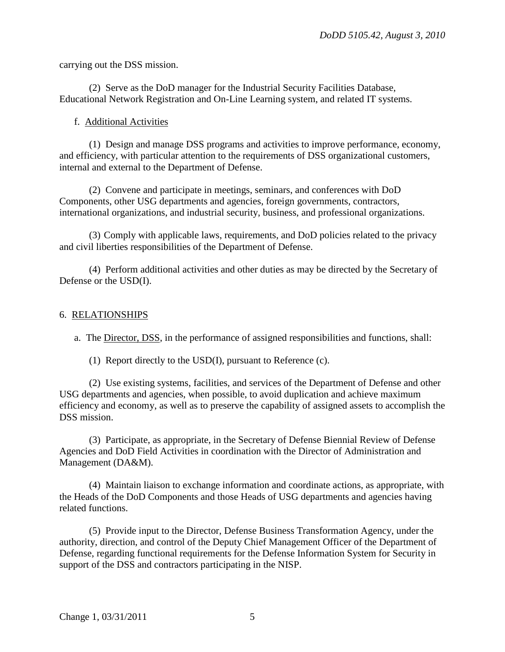carrying out the DSS mission.

 (2) Serve as the DoD manager for the Industrial Security Facilities Database, Educational Network Registration and On-Line Learning system, and related IT systems.

## f. Additional Activities

 (1) Design and manage DSS programs and activities to improve performance, economy, and efficiency, with particular attention to the requirements of DSS organizational customers, internal and external to the Department of Defense.

 (2) Convene and participate in meetings, seminars, and conferences with DoD Components, other USG departments and agencies, foreign governments, contractors, international organizations, and industrial security, business, and professional organizations.

 (3) Comply with applicable laws, requirements, and DoD policies related to the privacy and civil liberties responsibilities of the Department of Defense.

 (4) Perform additional activities and other duties as may be directed by the Secretary of Defense or the USD(I).

## 6. RELATIONSHIPS

a. The Director, DSS, in the performance of assigned responsibilities and functions, shall:

(1) Report directly to the USD(I), pursuant to Reference (c).

 (2) Use existing systems, facilities, and services of the Department of Defense and other USG departments and agencies, when possible, to avoid duplication and achieve maximum efficiency and economy, as well as to preserve the capability of assigned assets to accomplish the DSS mission.

 (3) Participate, as appropriate, in the Secretary of Defense Biennial Review of Defense Agencies and DoD Field Activities in coordination with the Director of Administration and Management (DA&M).

 (4) Maintain liaison to exchange information and coordinate actions, as appropriate, with the Heads of the DoD Components and those Heads of USG departments and agencies having related functions.

 (5) Provide input to the Director, Defense Business Transformation Agency, under the authority, direction, and control of the Deputy Chief Management Officer of the Department of Defense, regarding functional requirements for the Defense Information System for Security in support of the DSS and contractors participating in the NISP.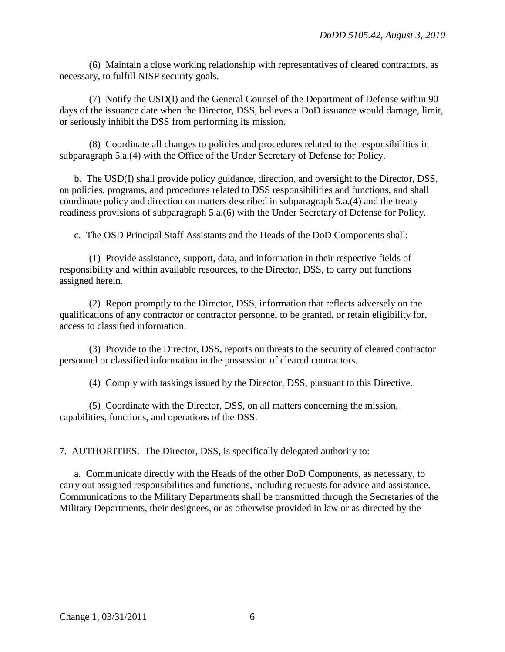(6) Maintain a close working relationship with representatives of cleared contractors, as necessary, to fulfill NISP security goals.

 (7) Notify the USD(I) and the General Counsel of the Department of Defense within 90 days of the issuance date when the Director, DSS, believes a DoD issuance would damage, limit, or seriously inhibit the DSS from performing its mission.

 (8) Coordinate all changes to policies and procedures related to the responsibilities in subparagraph 5.a.(4) with the Office of the Under Secretary of Defense for Policy.

 b. The USD(I) shall provide policy guidance, direction, and oversight to the Director, DSS, on policies, programs, and procedures related to DSS responsibilities and functions, and shall coordinate policy and direction on matters described in subparagraph 5.a.(4) and the treaty readiness provisions of subparagraph 5.a.(6) with the Under Secretary of Defense for Policy.

c. The OSD Principal Staff Assistants and the Heads of the DoD Components shall:

 (1) Provide assistance, support, data, and information in their respective fields of responsibility and within available resources, to the Director, DSS, to carry out functions assigned herein.

 (2) Report promptly to the Director, DSS, information that reflects adversely on the qualifications of any contractor or contractor personnel to be granted, or retain eligibility for, access to classified information.

 (3) Provide to the Director, DSS, reports on threats to the security of cleared contractor personnel or classified information in the possession of cleared contractors.

(4) Comply with taskings issued by the Director, DSS, pursuant to this Directive.

 (5) Coordinate with the Director, DSS, on all matters concerning the mission, capabilities, functions, and operations of the DSS.

7. AUTHORITIES. The Director, DSS, is specifically delegated authority to:

a. Communicate directly with the Heads of the other DoD Components, as necessary, to carry out assigned responsibilities and functions, including requests for advice and assistance. Communications to the Military Departments shall be transmitted through the Secretaries of the Military Departments, their designees, or as otherwise provided in law or as directed by the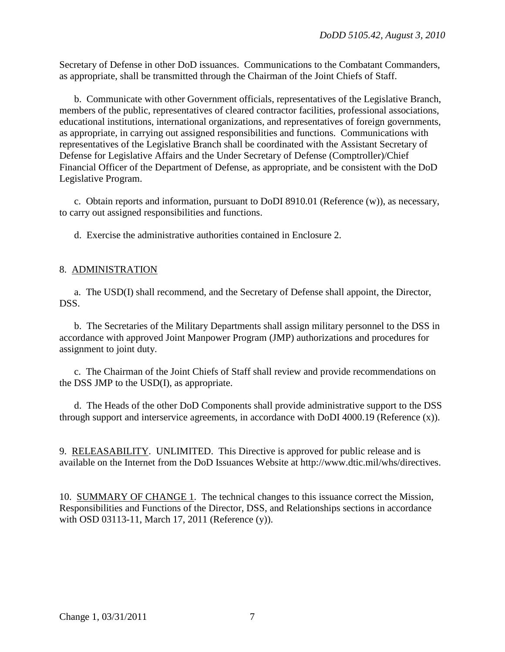Secretary of Defense in other DoD issuances. Communications to the Combatant Commanders, as appropriate, shall be transmitted through the Chairman of the Joint Chiefs of Staff.

 b. Communicate with other Government officials, representatives of the Legislative Branch, members of the public, representatives of cleared contractor facilities, professional associations, educational institutions, international organizations, and representatives of foreign governments, as appropriate, in carrying out assigned responsibilities and functions. Communications with representatives of the Legislative Branch shall be coordinated with the Assistant Secretary of Defense for Legislative Affairs and the Under Secretary of Defense (Comptroller)/Chief Financial Officer of the Department of Defense, as appropriate, and be consistent with the DoD Legislative Program.

c. Obtain reports and information, pursuant to DoDI 8910.01 (Reference (w)), as necessary, to carry out assigned responsibilities and functions.

d. Exercise the administrative authorities contained in Enclosure 2.

## 8. ADMINISTRATION

a. The USD(I) shall recommend, and the Secretary of Defense shall appoint, the Director, DSS.

b. The Secretaries of the Military Departments shall assign military personnel to the DSS in accordance with approved Joint Manpower Program (JMP) authorizations and procedures for assignment to joint duty.

 c. The Chairman of the Joint Chiefs of Staff shall review and provide recommendations on the DSS JMP to the USD(I), as appropriate.

 d. The Heads of the other DoD Components shall provide administrative support to the DSS through support and interservice agreements, in accordance with DoDI 4000.19 (Reference (x)).

9. RELEASABILITY. UNLIMITED. This Directive is approved for public release and is available on the Internet from the DoD Issuances Website at http://www.dtic.mil/whs/directives.

10. SUMMARY OF CHANGE 1. The technical changes to this issuance correct the Mission, Responsibilities and Functions of the Director, DSS, and Relationships sections in accordance with OSD 03113-11, March 17, 2011 (Reference (y)).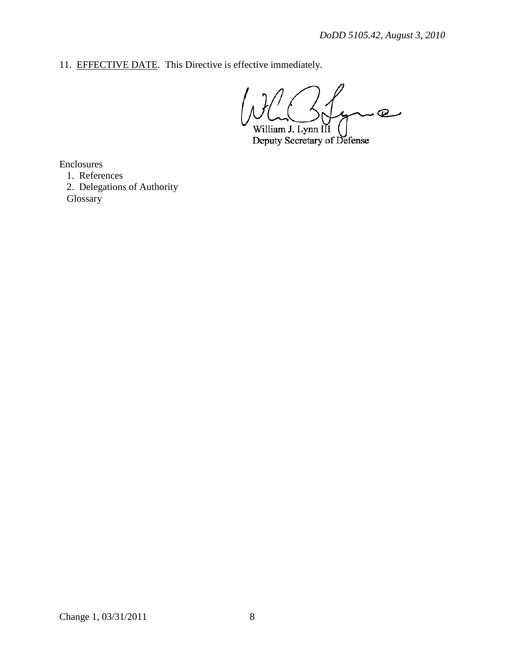11. EFFECTIVE DATE. This Directive is effective immediately.

 $\overline{Q}$ William J. Lynn III

Deputy Secretary of Defense

Enclosures

1. References

2. Delegations of Authority Glossary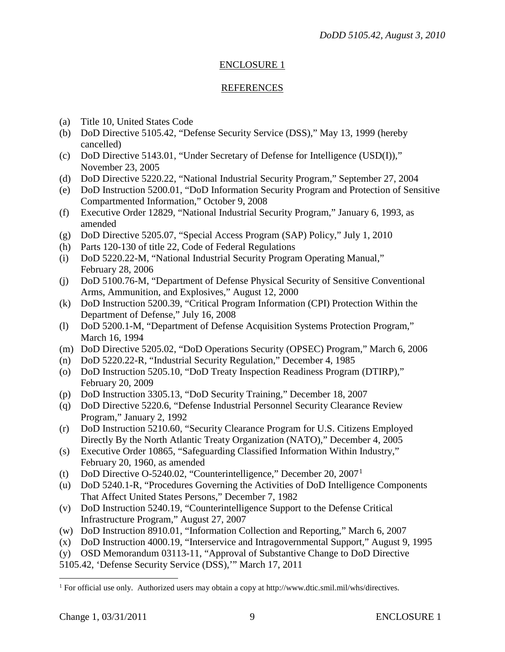# ENCLOSURE 1

# REFERENCES

- (a) Title 10, United States Code
- (b) DoD Directive 5105.42, "Defense Security Service (DSS)," May 13, 1999 (hereby cancelled)
- (c) DoD Directive 5143.01, "Under Secretary of Defense for Intelligence (USD(I))," November 23, 2005
- (d) DoD Directive 5220.22, "National Industrial Security Program," September 27, 2004
- (e) DoD Instruction 5200.01, "DoD Information Security Program and Protection of Sensitive Compartmented Information," October 9, 2008
- (f) Executive Order 12829, "National Industrial Security Program," January 6, 1993, as amended
- (g) DoD Directive 5205.07, "Special Access Program (SAP) Policy," July 1, 2010
- (h) Parts 120-130 of title 22, Code of Federal Regulations
- (i) DoD 5220.22-M, "National Industrial Security Program Operating Manual," February 28, 2006
- (j) DoD 5100.76-M, "Department of Defense Physical Security of Sensitive Conventional Arms, Ammunition, and Explosives," August 12, 2000
- (k) DoD Instruction 5200.39, "Critical Program Information (CPI) Protection Within the Department of Defense," July 16, 2008
- (l) DoD 5200.1-M, "Department of Defense Acquisition Systems Protection Program," March 16, 1994
- (m) DoD Directive 5205.02, "DoD Operations Security (OPSEC) Program," March 6, 2006
- (n) DoD 5220.22-R, "Industrial Security Regulation," December 4, 1985
- (o) DoD Instruction 5205.10, "DoD Treaty Inspection Readiness Program (DTIRP)," February 20, 2009
- (p) DoD Instruction 3305.13, "DoD Security Training," December 18, 2007
- (q) DoD Directive 5220.6, "Defense Industrial Personnel Security Clearance Review Program," January 2, 1992
- (r) DoD Instruction 5210.60, "Security Clearance Program for U.S. Citizens Employed Directly By the North Atlantic Treaty Organization (NATO)," December 4, 2005
- (s) Executive Order 10865, "Safeguarding Classified Information Within Industry," February 20, 1960, as amended
- (t) DoD Directive O-5240.02, "Counterintelligence," December 20,  $2007<sup>1</sup>$  $2007<sup>1</sup>$  $2007<sup>1</sup>$
- (u) DoD 5240.1-R, "Procedures Governing the Activities of DoD Intelligence Components That Affect United States Persons," December 7, 1982
- (v) DoD Instruction 5240.19, "Counterintelligence Support to the Defense Critical Infrastructure Program," August 27, 2007
- (w) DoD Instruction 8910.01, "Information Collection and Reporting," March 6, 2007
- (x) DoD Instruction 4000.19, "Interservice and Intragovernmental Support," August 9, 1995
- (y) OSD Memorandum 03113-11, "Approval of Substantive Change to DoD Directive
- 5105.42, 'Defense Security Service (DSS),'" March 17, 2011

<span id="page-8-0"></span> $\overline{a}$ <sup>1</sup> For official use only. Authorized users may obtain a copy at http://www.dtic.smil.mil/whs/directives.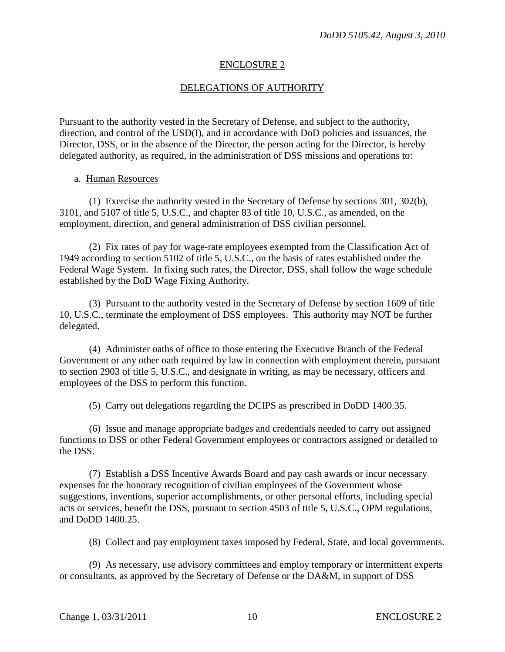## ENCLOSURE 2

# DELEGATIONS OF AUTHORITY

Pursuant to the authority vested in the Secretary of Defense, and subject to the authority, direction, and control of the USD(I), and in accordance with DoD policies and issuances, the Director, DSS, or in the absence of the Director, the person acting for the Director, is hereby delegated authority, as required, in the administration of DSS missions and operations to:

#### a. Human Resources

 (1) Exercise the authority vested in the Secretary of Defense by sections 301, 302(b), 3101, and 5107 of title 5, U.S.C., and chapter 83 of title 10, U.S.C., as amended, on the employment, direction, and general administration of DSS civilian personnel.

 (2) Fix rates of pay for wage-rate employees exempted from the Classification Act of 1949 according to section 5102 of title 5, U.S.C., on the basis of rates established under the Federal Wage System. In fixing such rates, the Director, DSS, shall follow the wage schedule established by the DoD Wage Fixing Authority.

 (3) Pursuant to the authority vested in the Secretary of Defense by section 1609 of title 10, U.S.C., terminate the employment of DSS employees. This authority may NOT be further delegated.

 (4) Administer oaths of office to those entering the Executive Branch of the Federal Government or any other oath required by law in connection with employment therein, pursuant to section 2903 of title 5, U.S.C., and designate in writing, as may be necessary, officers and employees of the DSS to perform this function.

(5) Carry out delegations regarding the DCIPS as prescribed in DoDD 1400.35.

 (6) Issue and manage appropriate badges and credentials needed to carry out assigned functions to DSS or other Federal Government employees or contractors assigned or detailed to the DSS.

 (7) Establish a DSS Incentive Awards Board and pay cash awards or incur necessary expenses for the honorary recognition of civilian employees of the Government whose suggestions, inventions, superior accomplishments, or other personal efforts, including special acts or services, benefit the DSS, pursuant to section 4503 of title 5, U.S.C., OPM regulations, and DoDD 1400.25.

(8) Collect and pay employment taxes imposed by Federal, State, and local governments.

 (9) As necessary, use advisory committees and employ temporary or intermittent experts or consultants, as approved by the Secretary of Defense or the DA&M, in support of DSS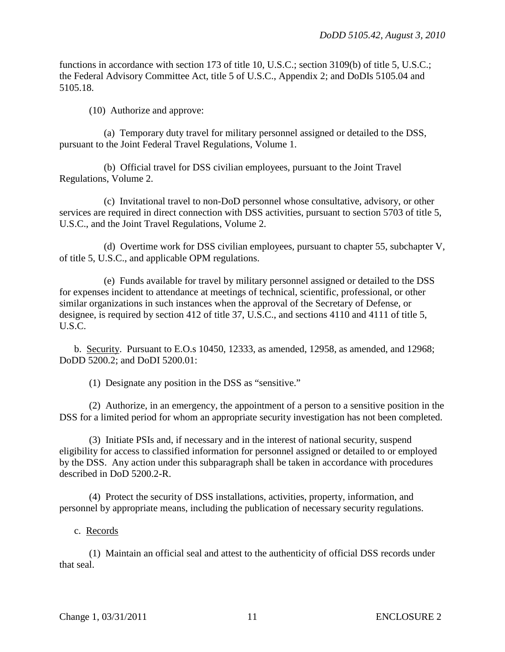functions in accordance with section 173 of title 10, U.S.C.; section 3109(b) of title 5, U.S.C.; the Federal Advisory Committee Act, title 5 of U.S.C., Appendix 2; and DoDIs 5105.04 and 5105.18.

(10) Authorize and approve:

 (a) Temporary duty travel for military personnel assigned or detailed to the DSS, pursuant to the Joint Federal Travel Regulations, Volume 1.

 (b) Official travel for DSS civilian employees, pursuant to the Joint Travel Regulations, Volume 2.

 (c) Invitational travel to non-DoD personnel whose consultative, advisory, or other services are required in direct connection with DSS activities, pursuant to section 5703 of title 5, U.S.C., and the Joint Travel Regulations, Volume 2.

 (d) Overtime work for DSS civilian employees, pursuant to chapter 55, subchapter V, of title 5, U.S.C., and applicable OPM regulations.

 (e) Funds available for travel by military personnel assigned or detailed to the DSS for expenses incident to attendance at meetings of technical, scientific, professional, or other similar organizations in such instances when the approval of the Secretary of Defense, or designee, is required by section 412 of title 37, U.S.C., and sections 4110 and 4111 of title 5, U.S.C.

 b. Security. Pursuant to E.O.s 10450, 12333, as amended, 12958, as amended, and 12968; DoDD 5200.2; and DoDI 5200.01:

(1) Designate any position in the DSS as "sensitive."

 (2) Authorize, in an emergency, the appointment of a person to a sensitive position in the DSS for a limited period for whom an appropriate security investigation has not been completed.

 (3) Initiate PSIs and, if necessary and in the interest of national security, suspend eligibility for access to classified information for personnel assigned or detailed to or employed by the DSS. Any action under this subparagraph shall be taken in accordance with procedures described in DoD 5200.2-R.

 (4) Protect the security of DSS installations, activities, property, information, and personnel by appropriate means, including the publication of necessary security regulations.

c. Records

 (1) Maintain an official seal and attest to the authenticity of official DSS records under that seal.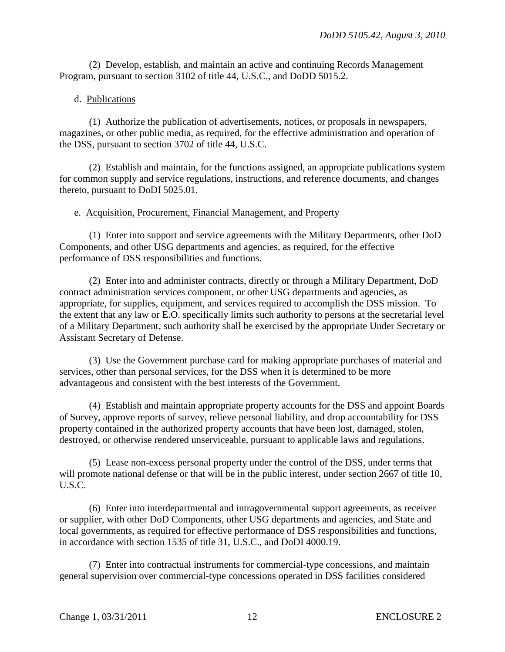(2) Develop, establish, and maintain an active and continuing Records Management Program, pursuant to section 3102 of title 44, U.S.C., and DoDD 5015.2.

## d. Publications

 (1) Authorize the publication of advertisements, notices, or proposals in newspapers, magazines, or other public media, as required, for the effective administration and operation of the DSS, pursuant to section 3702 of title 44, U.S.C.

 (2) Establish and maintain, for the functions assigned, an appropriate publications system for common supply and service regulations, instructions, and reference documents, and changes thereto, pursuant to DoDI 5025.01.

## e. Acquisition, Procurement, Financial Management, and Property

 (1) Enter into support and service agreements with the Military Departments, other DoD Components, and other USG departments and agencies, as required, for the effective performance of DSS responsibilities and functions.

 (2) Enter into and administer contracts, directly or through a Military Department, DoD contract administration services component, or other USG departments and agencies, as appropriate, for supplies, equipment, and services required to accomplish the DSS mission. To the extent that any law or E.O. specifically limits such authority to persons at the secretarial level of a Military Department, such authority shall be exercised by the appropriate Under Secretary or Assistant Secretary of Defense.

 (3) Use the Government purchase card for making appropriate purchases of material and services, other than personal services, for the DSS when it is determined to be more advantageous and consistent with the best interests of the Government.

 (4) Establish and maintain appropriate property accounts for the DSS and appoint Boards of Survey, approve reports of survey, relieve personal liability, and drop accountability for DSS property contained in the authorized property accounts that have been lost, damaged, stolen, destroyed, or otherwise rendered unserviceable, pursuant to applicable laws and regulations.

 (5) Lease non-excess personal property under the control of the DSS, under terms that will promote national defense or that will be in the public interest, under section 2667 of title 10, U.S.C.

 (6) Enter into interdepartmental and intragovernmental support agreements, as receiver or supplier, with other DoD Components, other USG departments and agencies, and State and local governments, as required for effective performance of DSS responsibilities and functions, in accordance with section 1535 of title 31, U.S.C., and DoDI 4000.19.

 (7) Enter into contractual instruments for commercial-type concessions, and maintain general supervision over commercial-type concessions operated in DSS facilities considered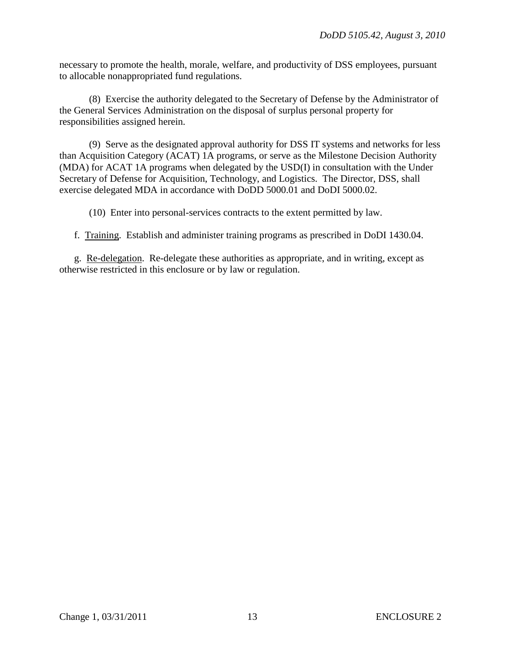necessary to promote the health, morale, welfare, and productivity of DSS employees, pursuant to allocable nonappropriated fund regulations.

 (8) Exercise the authority delegated to the Secretary of Defense by the Administrator of the General Services Administration on the disposal of surplus personal property for responsibilities assigned herein.

 (9) Serve as the designated approval authority for DSS IT systems and networks for less than Acquisition Category (ACAT) 1A programs, or serve as the Milestone Decision Authority (MDA) for ACAT 1A programs when delegated by the USD(I) in consultation with the Under Secretary of Defense for Acquisition, Technology, and Logistics. The Director, DSS, shall exercise delegated MDA in accordance with DoDD 5000.01 and DoDI 5000.02.

(10) Enter into personal-services contracts to the extent permitted by law.

f. Training. Establish and administer training programs as prescribed in DoDI 1430.04.

g. Re-delegation. Re-delegate these authorities as appropriate, and in writing, except as otherwise restricted in this enclosure or by law or regulation.